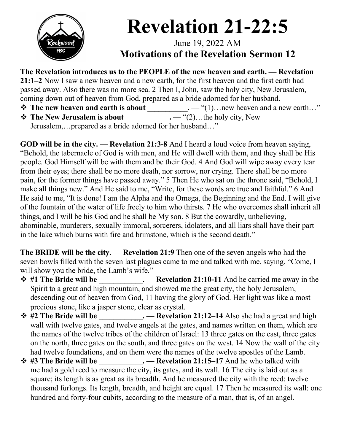

## **Revelation 21-22:5**

June 19, 2022 AM **Motivations of the Revelation Sermon 12**

**The Revelation introduces us to the PEOPLE of the new heaven and earth. — Revelation 21:1–2** Now I saw a new heaven and a new earth, for the first heaven and the first earth had passed away. Also there was no more sea. 2 Then I, John, saw the holy city, New Jerusalem, coming down out of heaven from God, prepared as a bride adorned for her husband. v **The new heaven and earth is about** \_\_\_\_\_\_\_\_\_\_\_**.** — "(1)…new heaven and a new earth…" v **The New Jerusalem is about** \_\_\_\_\_\_\_\_\_\_\_\_**. —** "(2)…the holy city, New

Jerusalem,…prepared as a bride adorned for her husband…"

**GOD will be in the city. — Revelation 21:3-8** And I heard a loud voice from heaven saying, "Behold, the tabernacle of God is with men, and He will dwell with them, and they shall be His people. God Himself will be with them and be their God. 4 And God will wipe away every tear from their eyes; there shall be no more death, nor sorrow, nor crying. There shall be no more pain, for the former things have passed away." 5 Then He who sat on the throne said, "Behold, I make all things new." And He said to me, "Write, for these words are true and faithful." 6 And He said to me, "It is done! I am the Alpha and the Omega, the Beginning and the End. I will give of the fountain of the water of life freely to him who thirsts. 7 He who overcomes shall inherit all things, and I will be his God and he shall be My son. 8 But the cowardly, unbelieving, abominable, murderers, sexually immoral, sorcerers, idolaters, and all liars shall have their part in the lake which burns with fire and brimstone, which is the second death."

**The BRIDE will be the city. — Revelation 21:9** Then one of the seven angels who had the seven bowls filled with the seven last plagues came to me and talked with me, saying, "Come, I will show you the bride, the Lamb's wife."

- v **#1 The Bride will be** \_\_\_\_\_\_\_\_\_\_\_\_**. — Revelation 21:10-11** And he carried me away in the Spirit to a great and high mountain, and showed me the great city, the holy Jerusalem, descending out of heaven from God, 11 having the glory of God. Her light was like a most precious stone, like a jasper stone, clear as crystal.
- v **#2 The Bride will be** \_\_\_\_\_\_\_\_\_\_\_\_**. — Revelation 21:12–14** Also she had a great and high wall with twelve gates, and twelve angels at the gates, and names written on them, which are the names of the twelve tribes of the children of Israel: 13 three gates on the east, three gates on the north, three gates on the south, and three gates on the west. 14 Now the wall of the city had twelve foundations, and on them were the names of the twelve apostles of the Lamb.
- **→ #3 The Bride will be**  $\cdot$  **Revelation 21:15–17** And he who talked with me had a gold reed to measure the city, its gates, and its wall. 16 The city is laid out as a square; its length is as great as its breadth. And he measured the city with the reed: twelve thousand furlongs. Its length, breadth, and height are equal. 17 Then he measured its wall: one hundred and forty-four cubits, according to the measure of a man, that is, of an angel.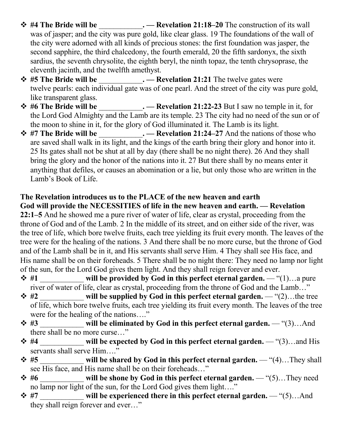- v **#4 The Bride will be** \_\_\_\_\_\_\_\_\_\_\_\_**. — Revelation 21:18–20** The construction of its wall was of jasper; and the city was pure gold, like clear glass. 19 The foundations of the wall of the city were adorned with all kinds of precious stones: the first foundation was jasper, the second sapphire, the third chalcedony, the fourth emerald, 20 the fifth sardonyx, the sixth sardius, the seventh chrysolite, the eighth beryl, the ninth topaz, the tenth chrysoprase, the eleventh jacinth, and the twelfth amethyst.
- v **#5 The Bride will be** \_\_\_\_\_\_\_\_\_\_\_\_**. — Revelation 21:21** The twelve gates were twelve pearls: each individual gate was of one pearl. And the street of the city was pure gold, like transparent glass.
- v **#6 The Bride will be** \_\_\_\_\_\_\_\_\_\_\_\_**. — Revelation 21:22-23** But I saw no temple in it, for the Lord God Almighty and the Lamb are its temple. 23 The city had no need of the sun or of the moon to shine in it, for the glory of God illuminated it. The Lamb is its light.
- v **#7 The Bride will be** \_\_\_\_\_\_\_\_\_\_\_\_**. — Revelation 21:24–27** And the nations of those who are saved shall walk in its light, and the kings of the earth bring their glory and honor into it. 25 Its gates shall not be shut at all by day (there shall be no night there). 26 And they shall bring the glory and the honor of the nations into it. 27 But there shall by no means enter it anything that defiles, or causes an abomination or a lie, but only those who are written in the Lamb's Book of Life.

## **The Revelation introduces us to the PLACE of the new heaven and earth**

**God will provide the NECESSITIES of life in the new heaven and earth. — Revelation 22:1–5** And he showed me a pure river of water of life, clear as crystal, proceeding from the throne of God and of the Lamb. 2 In the middle of its street, and on either side of the river, was the tree of life, which bore twelve fruits, each tree yielding its fruit every month. The leaves of the tree were for the healing of the nations. 3 And there shall be no more curse, but the throne of God and of the Lamb shall be in it, and His servants shall serve Him. 4 They shall see His face, and His name shall be on their foreheads. 5 There shall be no night there: They need no lamp nor light of the sun, for the Lord God gives them light. And they shall reign forever and ever.

- $\div$  **#1 will be provided by God in this perfect eternal garden.** "(1)…a pure river of water of life, clear as crystal, proceeding from the throne of God and the Lamb…"
- v **#2** \_\_\_\_\_\_\_\_\_\_\_\_ **will be supplied by God in this perfect eternal garden.**  "(2)…the tree of life, which bore twelve fruits, each tree yielding its fruit every month. The leaves of the tree were for the healing of the nations…."
- $\div$  **#3** will be eliminated by God in this perfect eternal garden. "(3)…And there shall be no more curse…"
- v **#4** \_\_\_\_\_\_\_\_\_\_\_\_ **will be expected by God in this perfect eternal garden.**  "(3)…and His servants shall serve Him...."
- $\div$  **#5 will be shared by God in this perfect eternal garden.** "(4)…They shall see His face, and His name shall be on their foreheads…"
- **→ #6 will be shone by God in this perfect eternal garden.** "(5)…They need no lamp nor light of the sun, for the Lord God gives them light…."
- $\div$  **#7 will be experienced there in this perfect eternal garden.** "(5)…And they shall reign forever and ever…"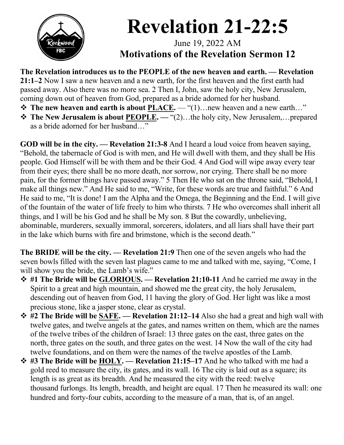

## **Revelation 21-22:5**

June 19, 2022 AM **Motivations of the Revelation Sermon 12**

**The Revelation introduces us to the PEOPLE of the new heaven and earth. — Revelation 21:1–2** Now I saw a new heaven and a new earth, for the first heaven and the first earth had passed away. Also there was no more sea. 2 Then I, John, saw the holy city, New Jerusalem, coming down out of heaven from God, prepared as a bride adorned for her husband.

- $\diamond$  The new heaven and earth is about PLACE. "(1)... new heaven and a new earth..."
- **❖ The New Jerusalem is about PEOPLE.** "(2)...the holy city, New Jerusalem,...prepared as a bride adorned for her husband…"

**GOD will be in the city. — Revelation 21:3-8** And I heard a loud voice from heaven saying, "Behold, the tabernacle of God is with men, and He will dwell with them, and they shall be His people. God Himself will be with them and be their God. 4 And God will wipe away every tear from their eyes; there shall be no more death, nor sorrow, nor crying. There shall be no more pain, for the former things have passed away." 5 Then He who sat on the throne said, "Behold, I make all things new." And He said to me, "Write, for these words are true and faithful." 6 And He said to me, "It is done! I am the Alpha and the Omega, the Beginning and the End. I will give of the fountain of the water of life freely to him who thirsts. 7 He who overcomes shall inherit all things, and I will be his God and he shall be My son. 8 But the cowardly, unbelieving, abominable, murderers, sexually immoral, sorcerers, idolaters, and all liars shall have their part in the lake which burns with fire and brimstone, which is the second death."

**The BRIDE will be the city. — Revelation 21:9** Then one of the seven angels who had the seven bowls filled with the seven last plagues came to me and talked with me, saying, "Come, I will show you the bride, the Lamb's wife."

- v **#1 The Bride will be GLORIOUS. — Revelation 21:10-11** And he carried me away in the Spirit to a great and high mountain, and showed me the great city, the holy Jerusalem, descending out of heaven from God, 11 having the glory of God. Her light was like a most precious stone, like a jasper stone, clear as crystal.
- v **#2 The Bride will be SAFE. — Revelation 21:12–14** Also she had a great and high wall with twelve gates, and twelve angels at the gates, and names written on them, which are the names of the twelve tribes of the children of Israel: 13 three gates on the east, three gates on the north, three gates on the south, and three gates on the west. 14 Now the wall of the city had twelve foundations, and on them were the names of the twelve apostles of the Lamb.
- v **#3 The Bride will be HOLY. — Revelation 21:15–17** And he who talked with me had a gold reed to measure the city, its gates, and its wall. 16 The city is laid out as a square; its length is as great as its breadth. And he measured the city with the reed: twelve thousand furlongs. Its length, breadth, and height are equal. 17 Then he measured its wall: one hundred and forty-four cubits, according to the measure of a man, that is, of an angel.